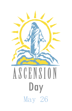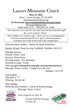# Lauvers Mennonite Church

**May 22, 2022**

Pastor: Curtiss Kanagy 207.431.8825 [lauversmennonitechurch.org](http://www.lauversmennonitechurch.org/)

**for livestream: lauversmennonitechurch.org/sermons**

[lauversmc@gmail.com](mailto:lauversmc@gmail.com)

34585 Route 35 N Richfield, PA 17086

*"Our mission is to seek the lost and nourish the found through the work of Jesus Christ."*

WELCOME to our visitors today! Please join us in worshipping the Lord and in experiencing His love, grace, truth and presence. God bless you in this service and in the coming days!

Welcome/Door holders: Denise & Diane Kauffman

Sunday School: *Keep Serving Faithfully,* Matthew 24:42-51

Worship Service Prelude: Emily Clark Nursery: Doris/Jenna Worship leader: Eric Brubaker Worship in song: Youth Offering *(given during first song after announcements/prayer)* Message: Pastor Curtiss "Caught Up in the Net"

Matthew 13:47-58

Last Sunday Attendance: 77 Offering: \$3,261.48

Next Sunday Welcome/Door holders: Curtiss & Robin Kanagy



Message: Pastor Curtiss

Ken Gingrich on May 28

Curtiss & Robin Kanagy on May 28

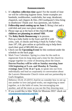## **Announcements**

- 1. It's **shoebox collection time** again! For the month of June we will be collecting hygiene items. Some examples are: bandaids, toothbrushes, washcloths, bar soap, deodorant, chapstick, nail clippers & files. (NO toothpaste!) Also bring in shoeboxes! Thank you! Any questions, ask Sydney.
- 2. **Fellowship meal coming up on June 5**. Bring a hot and a cold dish and your own place settings.
- 3. Please sign up at the back of the church **if your children are planning to attend VBS**.
- 4. The **Baby Bottle Boomerang** is in process. Pick up a baby bottle in the foyer and fill it with coins, cash, or checks and bring it back by Father's Day, June  $19<sup>th</sup>$ , OR, give online at cpcforlife.org to help them reach their goal of \$85,000 this year.
- 5. Check out the **Upcoming Event** for this weekend under the schedule on the back page.
- 6. Mark Your Calendars: Spring is a time for the earth to regenerate from its long sleep and a time for the church to engage together in a time of dreaming about the future. **Darren Peachey will be with us Sunday morning June 12th beginning at 9 a.m. and Monday & Tuesday evenings June 13 & 14 at 7 p.m.** to speak into our lives individually and lead us corporately in conversation about the Lauvers Mennonite Church vision and our partnership in God's Kingdom.

Hebrews 10:24–25 (ESV) And let us consider how to stir up one another to love and good works, not neglecting to meet together, as is the habit of some, but encouraging one another, and all the more as you see the Day drawing near.

7. If you would like to bike 'Ride for Missions 2022' check out **[rosedaleinternational.org/rfm/.](https://rosedaleinternational.org/rfm/)**







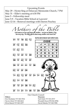Upcoming Events May 29 – Hymn Sing at Delaware Mennonite Church, 7 PM May 31 – Elder's meeting at 6:30 PM June 5 – Fellowship meal June 5-9 – Vacation Bible School at Lauvers! June 12-14 – Renewal meetings with Darren Peachey

thers

God wants us to love and honor our mothers - not just on Mother's Day, but every day. The Bible tells'us about many mothers who loved God.

|                                                                                                                                                                                                 |  | $\overline{4+}$ $\overline{10}$ $\overline{18}$ $\overline{20}$ $\overline{10}$ |  | Use the code to discover each mother's name. |   |   |   |             |    |  |
|-------------------------------------------------------------------------------------------------------------------------------------------------------------------------------------------------|--|---------------------------------------------------------------------------------|--|----------------------------------------------|---|---|---|-------------|----|--|
|                                                                                                                                                                                                 |  |                                                                                 |  | CODE                                         |   |   |   |             |    |  |
| $\overline{20}$ $\overline{10}$ $\overline{30}$ $\overline{38}$                                                                                                                                 |  |                                                                                 |  |                                              |   |   |   | æ           | δ1 |  |
|                                                                                                                                                                                                 |  |                                                                                 |  |                                              | A | Е |   | ο           | U  |  |
| $1 + 48$ $1+$                                                                                                                                                                                   |  |                                                                                 |  | 2                                            | R | С | L | Υ           | м  |  |
|                                                                                                                                                                                                 |  |                                                                                 |  | 3                                            | z | в | s | н           |    |  |
| $38\sqrt{10}$ $20\sqrt{10}$ $3\%$                                                                                                                                                               |  |                                                                                 |  |                                              | D | N |   | Κ           | G  |  |
| $\overline{386}$ $\overline{16}$ $\overline{452}$ $\overline{16}$ $\overline{26}$                                                                                                               |  |                                                                                 |  |                                              |   |   |   |             |    |  |
| $\overline{388}$ $\overline{16}$ $\overline{4+}$ $\overline{4+}$ $\overline{16}$ $\overline{38}$                                                                                                |  |                                                                                 |  |                                              |   |   |   |             |    |  |
| $\overline{282}$ 1 $\overline{6}$ $\overline{28}$ $\overline{28}$                                                                                                                               |  |                                                                                 |  |                                              |   |   |   |             |    |  |
| $\overline{1+}$ $\overline{2\overline{5}}$ $\overline{1\overline{5}}$ $\overline{3d}$ $\overline{1d}$ $\overline{3+}$ $\overline{1+}$ $\overline{3\overline{6}}$ $\overline{3R}$ $\overline{6}$ |  |                                                                                 |  |                                              |   |   |   |             |    |  |
| $\overline{28}$ $\overline{1+}$ $\overline{10}$ $\overline{3\%}$                                                                                                                                |  |                                                                                 |  |                                              |   |   |   | vote: W.Xor |    |  |
| $\overline{26}$ $\overline{16}$ $\overline{2+}$ $\overline{3\%}$ $\overline{1+}$ $\overline{2\%}$                                                                                               |  |                                                                                 |  |                                              |   |   |   |             |    |  |
| $\overline{26}$ $\overline{1+}$ $\overline{3+}$ $\overline{1+}$ $\overline{4\%}$ $\overline{16}$ $\overline{3\%}$                                                                               |  |                                                                                 |  |                                              |   |   |   |             |    |  |

Eric Brubaker 717-363-7014 Neil Glick 717-513-2717

Our Church Council **Elders: Deacons:** Nevin Glick 717-320-2612 Wendell Horst 570-541-8784 Elvin Ranck 717-363-1077 David Martin 717-363-7081